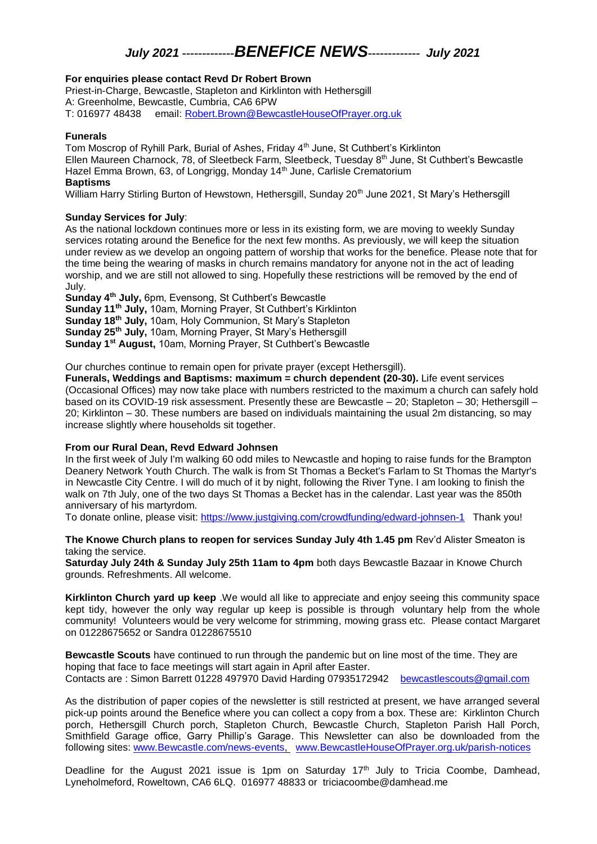## *July 2021 -------------BENEFICE NEWS------------- July 2021*

#### **For enquiries please contact Revd Dr Robert Brown**

Priest-in-Charge, Bewcastle, Stapleton and Kirklinton with Hethersgill A: Greenholme, Bewcastle, Cumbria, CA6 6PW T: 016977 48438 email: [Robert.Brown@BewcastleHouseOfPrayer.org.uk](mailto:Robert.Brown@BewcastleHouseOfPrayer.org.uk)

#### **Funerals**

Tom Moscrop of Ryhill Park, Burial of Ashes, Friday 4<sup>th</sup> June, St Cuthbert's Kirklinton Ellen Maureen Charnock, 78, of Sleetbeck Farm, Sleetbeck, Tuesday 8<sup>th</sup> June, St Cuthbert's Bewcastle Hazel Emma Brown, 63, of Longrigg, Monday 14<sup>th</sup> June, Carlisle Crematorium **Baptisms**

William Harry Stirling Burton of Hewstown, Hethersgill, Sunday 20<sup>th</sup> June 2021, St Mary's Hethersgill

#### **Sunday Services for July**:

As the national lockdown continues more or less in its existing form, we are moving to weekly Sunday services rotating around the Benefice for the next few months. As previously, we will keep the situation under review as we develop an ongoing pattern of worship that works for the benefice. Please note that for the time being the wearing of masks in church remains mandatory for anyone not in the act of leading worship, and we are still not allowed to sing. Hopefully these restrictions will be removed by the end of July.

**Sunday 4th July,** 6pm, Evensong, St Cuthbert's Bewcastle **Sunday 11th July,** 10am, Morning Prayer, St Cuthbert's Kirklinton **Sunday 18th July,** 10am, Holy Communion, St Mary's Stapleton **Sunday 25th July,** 10am, Morning Prayer, St Mary's Hethersgill **Sunday 1st August,** 10am, Morning Prayer, St Cuthbert's Bewcastle

Our churches continue to remain open for private prayer (except Hethersgill).

**Funerals, Weddings and Baptisms: maximum = church dependent (20-30).** Life event services (Occasional Offices) may now take place with numbers restricted to the maximum a church can safely hold based on its COVID-19 risk assessment. Presently these are Bewcastle – 20; Stapleton – 30; Hethersgill – 20; Kirklinton – 30. These numbers are based on individuals maintaining the usual 2m distancing, so may increase slightly where households sit together.

### **From our Rural Dean, Revd Edward Johnsen**

In the first week of July I'm walking 60 odd miles to Newcastle and hoping to raise funds for the Brampton Deanery Network Youth Church. The walk is from St Thomas a Becket's Farlam to St Thomas the Martyr's in Newcastle City Centre. I will do much of it by night, following the River Tyne. I am looking to finish the walk on 7th July, one of the two days St Thomas a Becket has in the calendar. Last year was the 850th anniversary of his martyrdom.

To donate online, please visit:<https://www.justgiving.com/crowdfunding/edward-johnsen-1>Thank you!

**The Knowe Church plans to reopen for services Sunday July 4th 1.45 pm** Rev'd Alister Smeaton is taking the service.

**Saturday July 24th & Sunday July 25th 11am to 4pm** both days Bewcastle Bazaar in Knowe Church grounds. Refreshments. All welcome.

**Kirklinton Church yard up keep** .We would all like to appreciate and enjoy seeing this community space kept tidy, however the only way regular up keep is possible is through voluntary help from the whole community! Volunteers would be very welcome for strimming, mowing grass etc. Please contact Margaret on 01228675652 or Sandra 01228675510

**Bewcastle Scouts** have continued to run through the pandemic but on line most of the time. They are hoping that face to face meetings will start again in April after Easter. Contacts are : Simon Barrett 01228 497970 David Harding 07935172942 [bewcastlescouts@gmail.com](mailto:bewcastlescouts@gmail.com)

As the distribution of paper copies of the newsletter is still restricted at present, we have arranged several pick-up points around the Benefice where you can collect a copy from a box. These are: Kirklinton Church porch, Hethersgill Church porch, Stapleton Church, Bewcastle Church, Stapleton Parish Hall Porch, Smithfield Garage office, Garry Phillip's Garage. This Newsletter can also be downloaded from the following sites: [www.Bewcastle.com/news-events,](http://www.bewcastle.com/news-events) [www.BewcastleHouseOfPrayer.org.uk/parish-notices](http://www.bewcastlehouseofprayer.org.uk/parish-notices)

Deadline for the August 2021 issue is 1pm on Saturday 17<sup>th</sup> July to Tricia Coombe, Damhead, Lyneholmeford, Roweltown, CA6 6LQ. 016977 48833 or triciacoombe@damhead.me